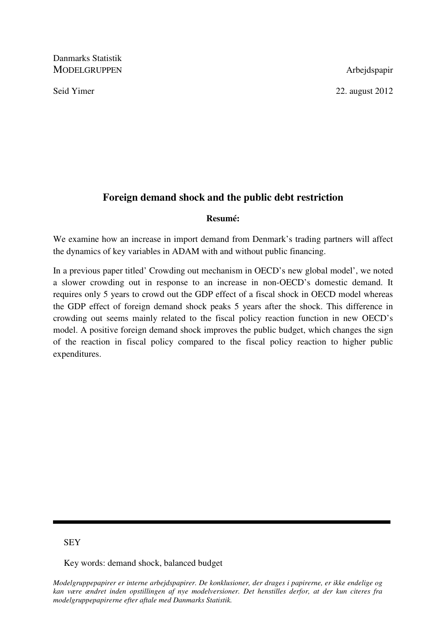Danmarks Statistik MODELGRUPPEN Arbejdspapir

Seid Yimer 22. august 2012

## **Foreign demand shock and the public debt restriction**

### **Resumé:**

We examine how an increase in import demand from Denmark's trading partners will affect the dynamics of key variables in ADAM with and without public financing.

In a previous paper titled' Crowding out mechanism in OECD's new global model', we noted a slower crowding out in response to an increase in non-OECD's domestic demand. It requires only 5 years to crowd out the GDP effect of a fiscal shock in OECD model whereas the GDP effect of foreign demand shock peaks 5 years after the shock. This difference in crowding out seems mainly related to the fiscal policy reaction function in new OECD's model. A positive foreign demand shock improves the public budget, which changes the sign of the reaction in fiscal policy compared to the fiscal policy reaction to higher public expenditures.

## **SEY**

Key words: demand shock, balanced budget

*Modelgruppepapirer er interne arbejdspapirer. De konklusioner, der drages i papirerne, er ikke endelige og kan være ændret inden opstillingen af nye modelversioner. Det henstilles derfor, at der kun citeres fra modelgruppepapirerne efter aftale med Danmarks Statistik.*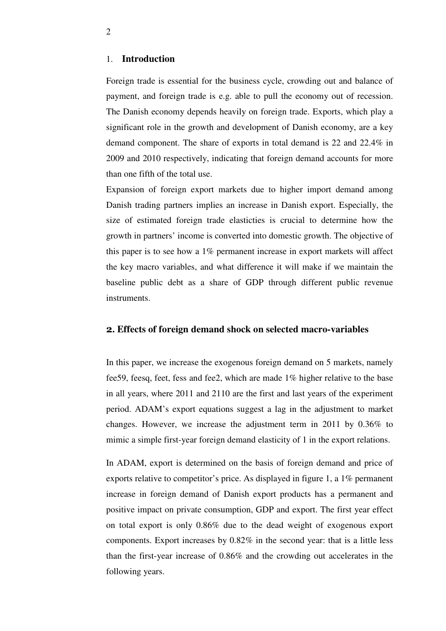#### 1. **Introduction**

Foreign trade is essential for the business cycle, crowding out and balance of payment, and foreign trade is e.g. able to pull the economy out of recession. The Danish economy depends heavily on foreign trade. Exports, which play a significant role in the growth and development of Danish economy, are a key demand component. The share of exports in total demand is 22 and 22.4% in 2009 and 2010 respectively, indicating that foreign demand accounts for more than one fifth of the total use.

Expansion of foreign export markets due to higher import demand among Danish trading partners implies an increase in Danish export. Especially, the size of estimated foreign trade elasticties is crucial to determine how the growth in partners' income is converted into domestic growth. The objective of this paper is to see how a 1% permanent increase in export markets will affect the key macro variables, and what difference it will make if we maintain the baseline public debt as a share of GDP through different public revenue instruments.

#### 2**. Effects of foreign demand shock on selected macro-variables**

In this paper, we increase the exogenous foreign demand on 5 markets, namely fee59, feesq, feet, fess and fee2, which are made 1% higher relative to the base in all years, where 2011 and 2110 are the first and last years of the experiment period. ADAM's export equations suggest a lag in the adjustment to market changes. However, we increase the adjustment term in 2011 by 0.36% to mimic a simple first-year foreign demand elasticity of 1 in the export relations.

In ADAM, export is determined on the basis of foreign demand and price of exports relative to competitor's price. As displayed in figure 1, a 1% permanent increase in foreign demand of Danish export products has a permanent and positive impact on private consumption, GDP and export. The first year effect on total export is only 0.86% due to the dead weight of exogenous export components. Export increases by 0.82% in the second year: that is a little less than the first-year increase of 0.86% and the crowding out accelerates in the following years.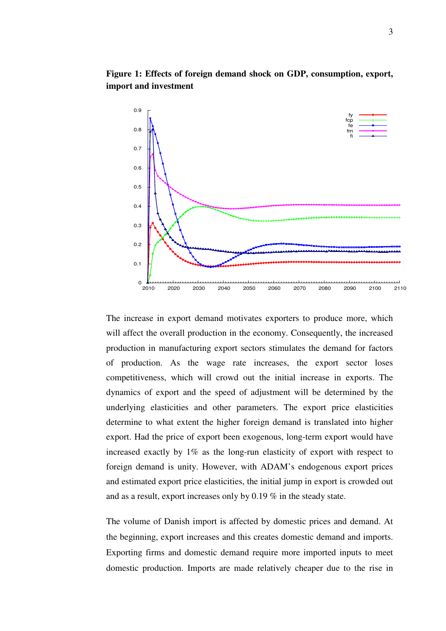

**Figure 1: Effects of foreign demand shock on GDP, consumption, export, import and investment** 

The increase in export demand motivates exporters to produce more, which will affect the overall production in the economy. Consequently, the increased production in manufacturing export sectors stimulates the demand for factors of production. As the wage rate increases, the export sector loses competitiveness, which will crowd out the initial increase in exports. The dynamics of export and the speed of adjustment will be determined by the underlying elasticities and other parameters. The export price elasticities determine to what extent the higher foreign demand is translated into higher export. Had the price of export been exogenous, long-term export would have increased exactly by 1% as the long-run elasticity of export with respect to foreign demand is unity. However, with ADAM's endogenous export prices and estimated export price elasticities, the initial jump in export is crowded out and as a result, export increases only by 0.19 % in the steady state.

The volume of Danish import is affected by domestic prices and demand. At the beginning, export increases and this creates domestic demand and imports. Exporting firms and domestic demand require more imported inputs to meet domestic production. Imports are made relatively cheaper due to the rise in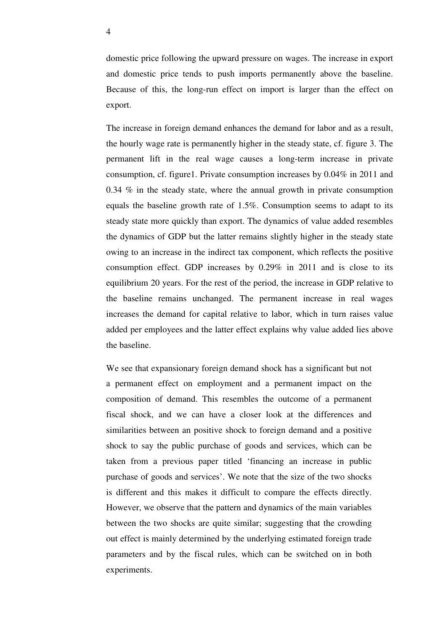domestic price following the upward pressure on wages. The increase in export and domestic price tends to push imports permanently above the baseline. Because of this, the long-run effect on import is larger than the effect on export.

The increase in foreign demand enhances the demand for labor and as a result, the hourly wage rate is permanently higher in the steady state, cf. figure 3. The permanent lift in the real wage causes a long-term increase in private consumption, cf. figure1. Private consumption increases by 0.04% in 2011 and 0.34 % in the steady state, where the annual growth in private consumption equals the baseline growth rate of 1.5%. Consumption seems to adapt to its steady state more quickly than export. The dynamics of value added resembles the dynamics of GDP but the latter remains slightly higher in the steady state owing to an increase in the indirect tax component, which reflects the positive consumption effect. GDP increases by 0.29% in 2011 and is close to its equilibrium 20 years. For the rest of the period, the increase in GDP relative to the baseline remains unchanged. The permanent increase in real wages increases the demand for capital relative to labor, which in turn raises value added per employees and the latter effect explains why value added lies above the baseline.

We see that expansionary foreign demand shock has a significant but not a permanent effect on employment and a permanent impact on the composition of demand. This resembles the outcome of a permanent fiscal shock, and we can have a closer look at the differences and similarities between an positive shock to foreign demand and a positive shock to say the public purchase of goods and services, which can be taken from a previous paper titled 'financing an increase in public purchase of goods and services'. We note that the size of the two shocks is different and this makes it difficult to compare the effects directly. However, we observe that the pattern and dynamics of the main variables between the two shocks are quite similar; suggesting that the crowding out effect is mainly determined by the underlying estimated foreign trade parameters and by the fiscal rules, which can be switched on in both experiments.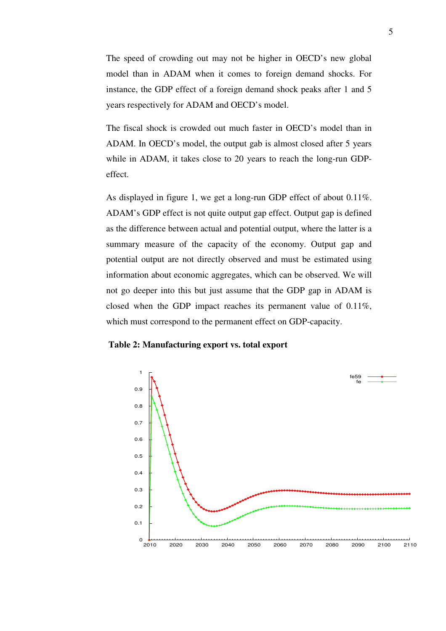The speed of crowding out may not be higher in OECD's new global model than in ADAM when it comes to foreign demand shocks. For instance, the GDP effect of a foreign demand shock peaks after 1 and 5 years respectively for ADAM and OECD's model.

The fiscal shock is crowded out much faster in OECD's model than in ADAM. In OECD's model, the output gab is almost closed after 5 years while in ADAM, it takes close to 20 years to reach the long-run GDPeffect.

As displayed in figure 1, we get a long-run GDP effect of about 0.11%. ADAM's GDP effect is not quite output gap effect. Output gap is defined as the difference between actual and potential output, where the latter is a summary measure of the capacity of the economy. Output gap and potential output are not directly observed and must be estimated using information about economic aggregates, which can be observed. We will not go deeper into this but just assume that the GDP gap in ADAM is closed when the GDP impact reaches its permanent value of 0.11%, which must correspond to the permanent effect on GDP-capacity.

#### **Table 2: Manufacturing export vs. total export**

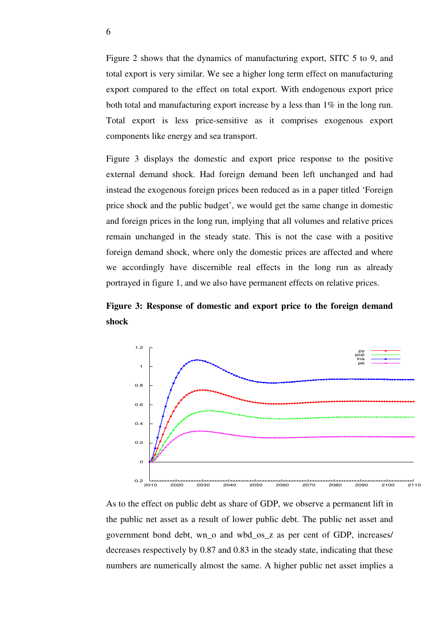Figure 2 shows that the dynamics of manufacturing export, SITC 5 to 9, and total export is very similar. We see a higher long term effect on manufacturing export compared to the effect on total export. With endogenous export price both total and manufacturing export increase by a less than 1% in the long run. Total export is less price-sensitive as it comprises exogenous export components like energy and sea transport.

Figure 3 displays the domestic and export price response to the positive external demand shock. Had foreign demand been left unchanged and had instead the exogenous foreign prices been reduced as in a paper titled 'Foreign price shock and the public budget', we would get the same change in domestic and foreign prices in the long run, implying that all volumes and relative prices remain unchanged in the steady state. This is not the case with a positive foreign demand shock, where only the domestic prices are affected and where we accordingly have discernible real effects in the long run as already portrayed in figure 1, and we also have permanent effects on relative prices.





As to the effect on public debt as share of GDP, we observe a permanent lift in the public net asset as a result of lower public debt. The public net asset and government bond debt, wn\_o and wbd\_os\_z as per cent of GDP, increases/ decreases respectively by 0.87 and 0.83 in the steady state, indicating that these numbers are numerically almost the same. A higher public net asset implies a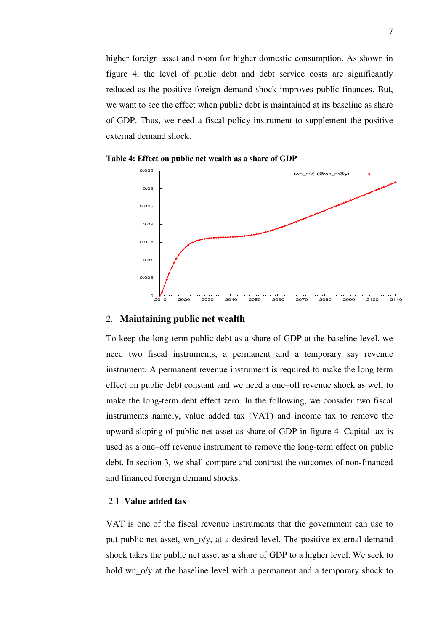higher foreign asset and room for higher domestic consumption. As shown in figure 4, the level of public debt and debt service costs are significantly reduced as the positive foreign demand shock improves public finances. But, we want to see the effect when public debt is maintained at its baseline as share of GDP. Thus, we need a fiscal policy instrument to supplement the positive external demand shock.





#### 2. **Maintaining public net wealth**

To keep the long-term public debt as a share of GDP at the baseline level, we need two fiscal instruments, a permanent and a temporary say revenue instrument. A permanent revenue instrument is required to make the long term effect on public debt constant and we need a one–off revenue shock as well to make the long-term debt effect zero. In the following, we consider two fiscal instruments namely, value added tax (VAT) and income tax to remove the upward sloping of public net asset as share of GDP in figure 4. Capital tax is used as a one–off revenue instrument to remove the long-term effect on public debt. In section 3, we shall compare and contrast the outcomes of non-financed and financed foreign demand shocks.

#### 2.1 **Value added tax**

VAT is one of the fiscal revenue instruments that the government can use to put public net asset, wn\_o/y, at a desired level. The positive external demand shock takes the public net asset as a share of GDP to a higher level. We seek to hold wn\_o/y at the baseline level with a permanent and a temporary shock to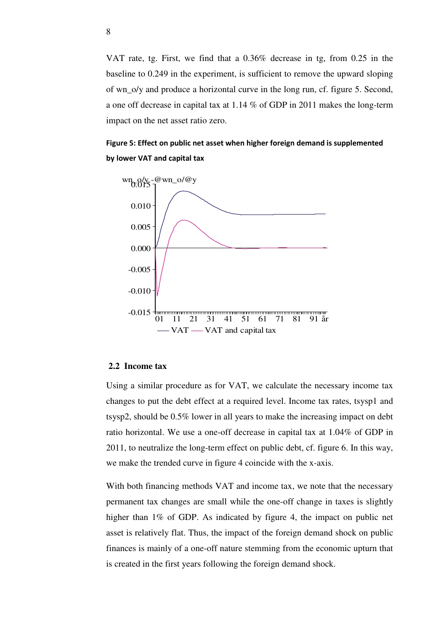VAT rate, tg. First, we find that a 0.36% decrease in tg, from 0.25 in the baseline to 0.249 in the experiment, is sufficient to remove the upward sloping of wn\_o/y and produce a horizontal curve in the long run, cf. figure 5. Second, a one off decrease in capital tax at 1.14 % of GDP in 2011 makes the long-term impact on the net asset ratio zero.

Figure 5: Effect on public net asset when higher foreign demand is supplemented by lower VAT and capital tax



#### **2.2 Income tax**

Using a similar procedure as for VAT, we calculate the necessary income tax changes to put the debt effect at a required level. Income tax rates, tsysp1 and tsysp2, should be 0.5% lower in all years to make the increasing impact on debt ratio horizontal. We use a one-off decrease in capital tax at 1.04% of GDP in 2011, to neutralize the long-term effect on public debt, cf. figure 6. In this way, we make the trended curve in figure 4 coincide with the x-axis.

With both financing methods VAT and income tax, we note that the necessary permanent tax changes are small while the one-off change in taxes is slightly higher than 1% of GDP. As indicated by figure 4, the impact on public net asset is relatively flat. Thus, the impact of the foreign demand shock on public finances is mainly of a one-off nature stemming from the economic upturn that is created in the first years following the foreign demand shock.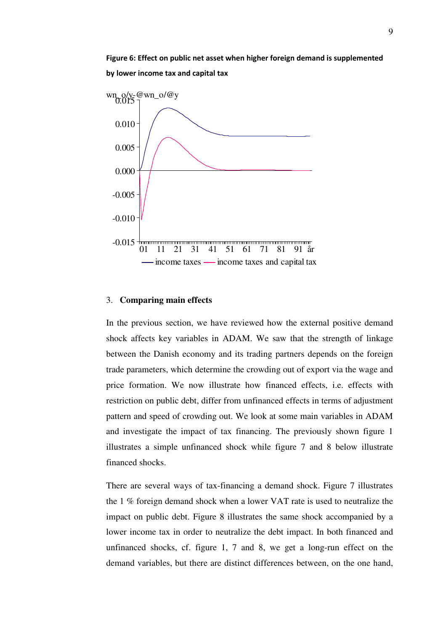# Figure 6: Effect on public net asset when higher foreign demand is supplemented by lower income tax and capital tax



#### 3. **Comparing main effects**

In the previous section, we have reviewed how the external positive demand shock affects key variables in ADAM. We saw that the strength of linkage between the Danish economy and its trading partners depends on the foreign trade parameters, which determine the crowding out of export via the wage and price formation. We now illustrate how financed effects, i.e. effects with restriction on public debt, differ from unfinanced effects in terms of adjustment pattern and speed of crowding out. We look at some main variables in ADAM and investigate the impact of tax financing. The previously shown figure 1 illustrates a simple unfinanced shock while figure 7 and 8 below illustrate financed shocks.

There are several ways of tax-financing a demand shock. Figure 7 illustrates the 1 % foreign demand shock when a lower VAT rate is used to neutralize the impact on public debt. Figure 8 illustrates the same shock accompanied by a lower income tax in order to neutralize the debt impact. In both financed and unfinanced shocks, cf. figure 1, 7 and 8, we get a long-run effect on the demand variables, but there are distinct differences between, on the one hand,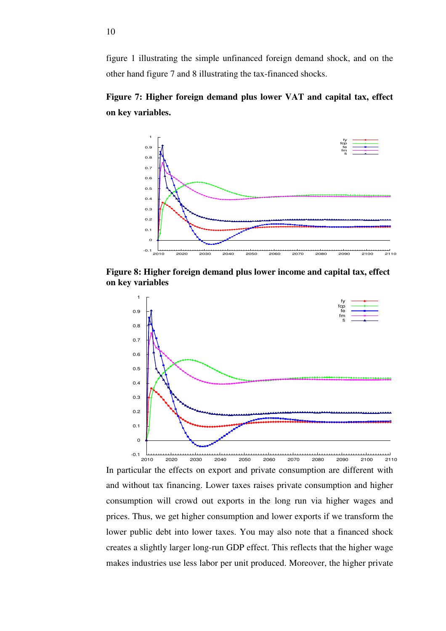figure 1 illustrating the simple unfinanced foreign demand shock, and on the other hand figure 7 and 8 illustrating the tax-financed shocks.

**Figure 7: Higher foreign demand plus lower VAT and capital tax, effect on key variables.** 



**Figure 8: Higher foreign demand plus lower income and capital tax, effect on key variables**



In particular the effects on export and private consumption are different with and without tax financing. Lower taxes raises private consumption and higher consumption will crowd out exports in the long run via higher wages and prices. Thus, we get higher consumption and lower exports if we transform the lower public debt into lower taxes. You may also note that a financed shock creates a slightly larger long-run GDP effect. This reflects that the higher wage makes industries use less labor per unit produced. Moreover, the higher private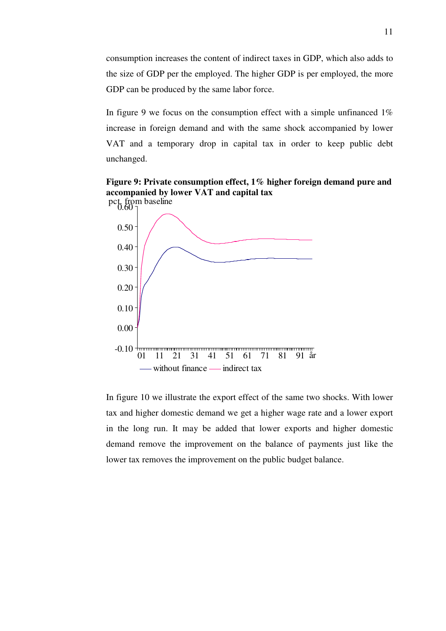consumption increases the content of indirect taxes in GDP, which also adds to the size of GDP per the employed. The higher GDP is per employed, the more GDP can be produced by the same labor force.

In figure 9 we focus on the consumption effect with a simple unfinanced  $1\%$ increase in foreign demand and with the same shock accompanied by lower VAT and a temporary drop in capital tax in order to keep public debt unchanged.

**Figure 9: Private consumption effect, 1% higher foreign demand pure and accompanied by lower VAT and capital tax** 



In figure 10 we illustrate the export effect of the same two shocks. With lower tax and higher domestic demand we get a higher wage rate and a lower export in the long run. It may be added that lower exports and higher domestic demand remove the improvement on the balance of payments just like the lower tax removes the improvement on the public budget balance.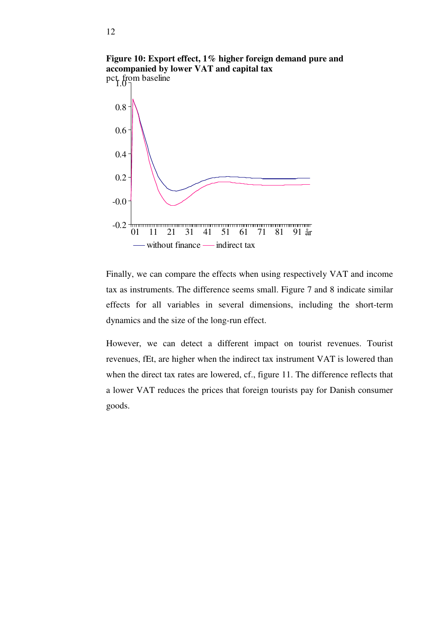

Finally, we can compare the effects when using respectively VAT and income tax as instruments. The difference seems small. Figure 7 and 8 indicate similar effects for all variables in several dimensions, including the short-term dynamics and the size of the long-run effect.

However, we can detect a different impact on tourist revenues. Tourist revenues, fEt, are higher when the indirect tax instrument VAT is lowered than when the direct tax rates are lowered, cf., figure 11. The difference reflects that a lower VAT reduces the prices that foreign tourists pay for Danish consumer goods.

**Figure 10: Export effect, 1% higher foreign demand pure and accompanied by lower VAT and capital tax**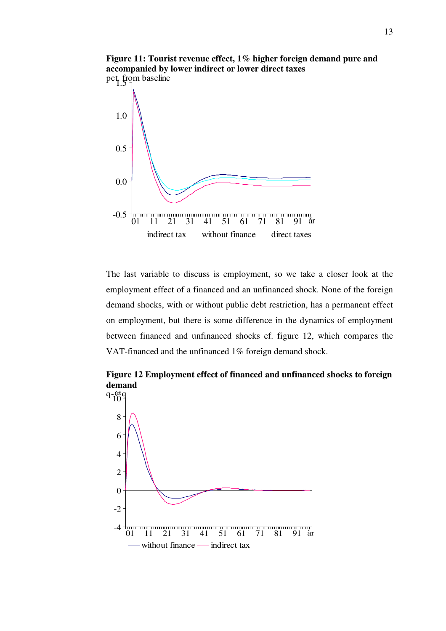

The last variable to discuss is employment, so we take a closer look at the employment effect of a financed and an unfinanced shock. None of the foreign demand shocks, with or without public debt restriction, has a permanent effect on employment, but there is some difference in the dynamics of employment between financed and unfinanced shocks cf. figure 12, which compares the VAT-financed and the unfinanced 1% foreign demand shock.

**Figure 12 Employment effect of financed and unfinanced shocks to foreign demand**